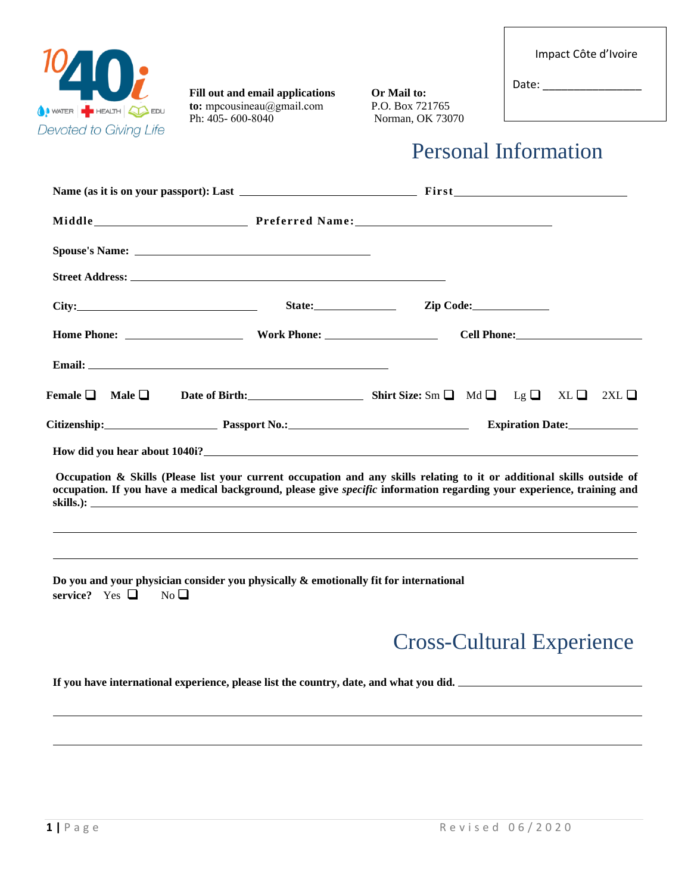|  |  | Impact Côte d'Ivoire |
|--|--|----------------------|
|--|--|----------------------|



**Fill out and email applications** Or Mail to:<br> **to:** mpcousineau@gmail.com P.O. Box 721765 **to:** [mpcousineau@g](mailto:Sabrina@1040i.org)mail.com Ph: 405- 600-8040

Norman, OK 73070

Personal Information

Date:

|                                    | City: City: City: City: City: City: City: City: Cole: City: Cole: City: Cole: City: Cole: City: Cole: City: Cole: City: Cole: City: Cole: City: Cole: City: Cole: City: Cole: City: Cole: City: City: City: City: City: City:                                        |                                  |                         |  |
|------------------------------------|----------------------------------------------------------------------------------------------------------------------------------------------------------------------------------------------------------------------------------------------------------------------|----------------------------------|-------------------------|--|
|                                    |                                                                                                                                                                                                                                                                      |                                  |                         |  |
|                                    |                                                                                                                                                                                                                                                                      |                                  |                         |  |
|                                    | Female $\Box$ Male $\Box$ Date of Birth: Shirt Size: Sm $\Box$ Md $\Box$ Lg $\Box$ XL $\Box$ 2XL $\Box$                                                                                                                                                              |                                  |                         |  |
|                                    | Citizenship: Passport No.: 2008 Passport No.: 2008                                                                                                                                                                                                                   |                                  | <b>Expiration Date:</b> |  |
|                                    |                                                                                                                                                                                                                                                                      |                                  |                         |  |
|                                    | Occupation & Skills (Please list your current occupation and any skills relating to it or additional skills outside of<br>occupation. If you have a medical background, please give <i>specific</i> information regarding your experience, training and<br>skills.): |                                  |                         |  |
| service? Yes $\Box$<br>$No$ $\Box$ | Do you and your physician consider you physically & emotionally fit for international                                                                                                                                                                                |                                  |                         |  |
|                                    |                                                                                                                                                                                                                                                                      | <b>Cross-Cultural Experience</b> |                         |  |

**If you have international experience, please list the country, date, and what you did.**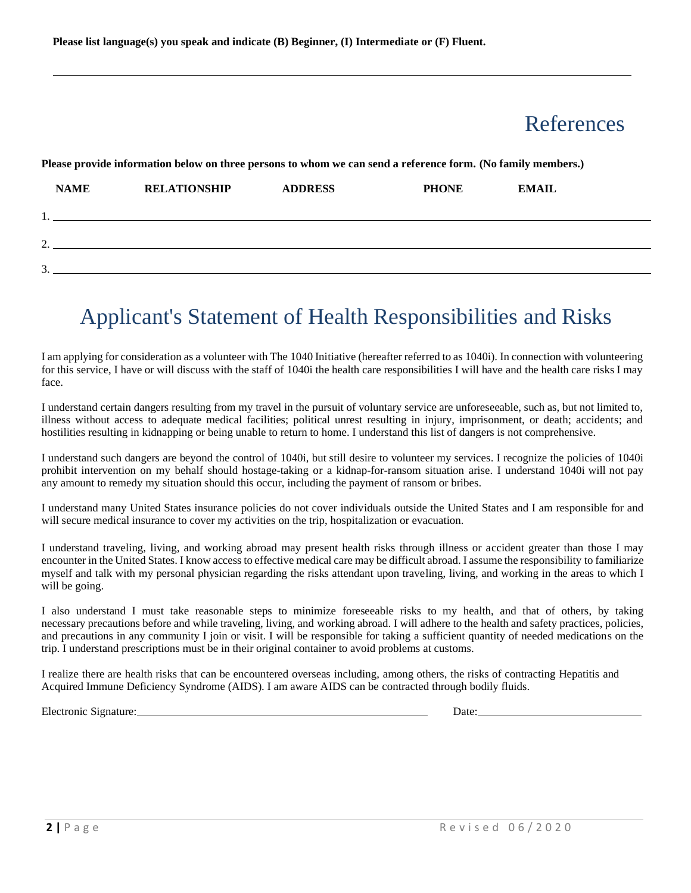### References

## **NAME RELATIONSHIP ADDRESS PHONE EMAIL** 1. 2.  $3.$

**Please provide information below on three persons to whom we can send a reference form. (No family members.)**

## Applicant's Statement of Health Responsibilities and Risks

I am applying for consideration as a volunteer with The 1040 Initiative (hereafter referred to as 1040i). In connection with volunteering for this service, I have or will discuss with the staff of 1040i the health care responsibilities I will have and the health care risks I may face.

I understand certain dangers resulting from my travel in the pursuit of voluntary service are unforeseeable, such as, but not limited to, illness without access to adequate medical facilities; political unrest resulting in injury, imprisonment, or death; accidents; and hostilities resulting in kidnapping or being unable to return to home. I understand this list of dangers is not comprehensive.

I understand such dangers are beyond the control of 1040i, but still desire to volunteer my services. I recognize the policies of 1040i prohibit intervention on my behalf should hostage-taking or a kidnap-for-ransom situation arise. I understand 1040i will not pay any amount to remedy my situation should this occur, including the payment of ransom or bribes.

I understand many United States insurance policies do not cover individuals outside the United States and I am responsible for and will secure medical insurance to cover my activities on the trip, hospitalization or evacuation.

I understand traveling, living, and working abroad may present health risks through illness or accident greater than those I may encounter in the United States. I know access to effective medical care may be difficult abroad. I assume the responsibility to familiarize myself and talk with my personal physician regarding the risks attendant upon traveling, living, and working in the areas to which I will be going.

I also understand I must take reasonable steps to minimize foreseeable risks to my health, and that of others, by taking necessary precautions before and while traveling, living, and working abroad. I will adhere to the health and safety practices, policies, and precautions in any community I join or visit. I will be responsible for taking a sufficient quantity of needed medications on the trip. I understand prescriptions must be in their original container to avoid problems at customs.

I realize there are health risks that can be encountered overseas including, among others, the risks of contracting Hepatitis and Acquired Immune Deficiency Syndrome (AIDS). I am aware AIDS can be contracted through bodily fluids.

Electronic Signature:Date: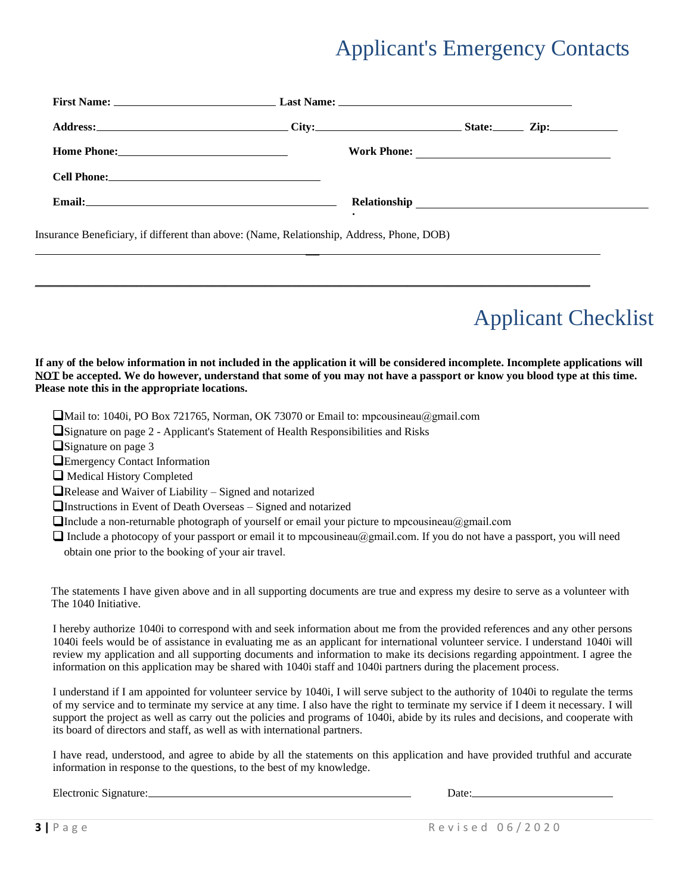## Applicant's Emergency Contacts

|                                                                                                                                                                                                                                      | First Name: Last Name: Last Name: Last Name: Last Name: Last Name: Last Name: Last Name: Last Name: Last Name: Last Name: Last Name: Last Name: Last Name: Last Name: Last Name: Last Name: Last Name: Last Name: Last Name: L |  |
|--------------------------------------------------------------------------------------------------------------------------------------------------------------------------------------------------------------------------------------|--------------------------------------------------------------------------------------------------------------------------------------------------------------------------------------------------------------------------------|--|
|                                                                                                                                                                                                                                      |                                                                                                                                                                                                                                |  |
| Home Phone: <u>and the second of the second second second second second second second second second second second second second second second second second second second second second second second second second second secon</u> |                                                                                                                                                                                                                                |  |
|                                                                                                                                                                                                                                      |                                                                                                                                                                                                                                |  |
|                                                                                                                                                                                                                                      |                                                                                                                                                                                                                                |  |
|                                                                                                                                                                                                                                      | n " "CHOC J I AT DIJ I' LII DI DODA                                                                                                                                                                                            |  |

 $\overline{\phantom{0}}$ 

\_\_\_\_\_\_\_\_\_\_\_\_\_\_\_\_\_\_\_\_\_\_\_\_\_\_\_\_\_\_\_\_\_\_\_\_\_\_\_\_\_\_\_\_\_\_\_\_\_\_\_\_\_\_\_\_\_\_\_\_\_\_\_\_\_\_\_\_\_\_\_\_\_\_\_\_\_\_\_\_\_\_

Insurance Beneficiary, if different than above: (Name, Relationship, Address, Phone, DOB)

# Applicant Checklist

#### **If any of the below information in not included in the application it will be considered incomplete. Incomplete applications will NOT be accepted. We do however, understand that some of you may not have a passport or know you blood type at this time. Please note this in the appropriate locations.**

- Mail to: 1040i, PO Box 721765, Norman, OK 73070 or Email to: [mpcousineau@gmai](mailto:Sabrina@1040i.org)l.com
- Signature on page 2 Applicant's Statement of Health Responsibilities and Risks
- Signature on page 3
- **Emergency Contact Information**
- $\Box$  Medical History Completed
- $\Box$ Release and Waiver of Liability Signed and notarized
- Instructions in Event of Death Overseas Signed and notarized
- **The a** non-returnable photograph of yourself or email your picture to [mpcousineau@gmai](mailto:Sabrina@1040i.org)l.com
- $\Box$  Include a photocopy of your passport or email it to [mpcousineau@gmail.com](mailto:Sabrina@1040i.org). If you do not have a passport, you will need obtain one prior to the booking of your air travel.

The statements I have given above and in all supporting documents are true and express my desire to serve as a volunteer with The 1040 Initiative.

I hereby authorize 1040i to correspond with and seek information about me from the provided references and any other persons 1040i feels would be of assistance in evaluating me as an applicant for international volunteer service. I understand 1040i will review my application and all supporting documents and information to make its decisions regarding appointment. I agree the information on this application may be shared with 1040i staff and 1040i partners during the placement process.

I understand if I am appointed for volunteer service by 1040i, I will serve subject to the authority of 1040i to regulate the terms of my service and to terminate my service at any time. I also have the right to terminate my service if I deem it necessary. I will support the project as well as carry out the policies and programs of 1040i, abide by its rules and decisions, and cooperate with its board of directors and staff, as well as with international partners.

I have read, understood, and agree to abide by all the statements on this application and have provided truthful and accurate information in response to the questions, to the best of my knowledge.

Electronic Signature: Date: Date: Date: Date: Date: Date: Date: Date: Date: Date: Date: Date: Date: Date: Date: Date: Date: Date: Date: Date: Date: Date: Date: Date: Date: Date: Date: Date: Date: Date: Date: Date: Date: Da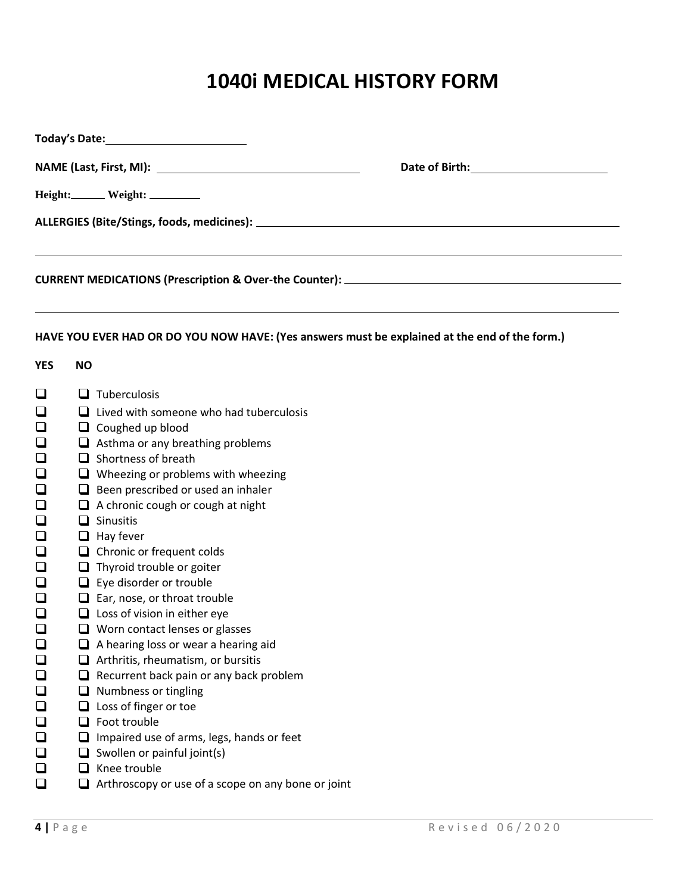## **1040i MEDICAL HISTORY FORM**

|                  | Date of Birth: __________________________ |                                                                                               |  |  |  |  |
|------------------|-------------------------------------------|-----------------------------------------------------------------------------------------------|--|--|--|--|
|                  |                                           | Height: Weight: _________                                                                     |  |  |  |  |
|                  |                                           |                                                                                               |  |  |  |  |
|                  |                                           |                                                                                               |  |  |  |  |
|                  |                                           |                                                                                               |  |  |  |  |
|                  |                                           | HAVE YOU EVER HAD OR DO YOU NOW HAVE: (Yes answers must be explained at the end of the form.) |  |  |  |  |
| <b>YES</b>       | <b>NO</b>                                 |                                                                                               |  |  |  |  |
| $\Box$           |                                           | $\Box$ Tuberculosis                                                                           |  |  |  |  |
| $\Box$           |                                           | $\Box$ Lived with someone who had tuberculosis                                                |  |  |  |  |
| ❏                |                                           | $\Box$ Coughed up blood                                                                       |  |  |  |  |
| ❏                |                                           | $\Box$ Asthma or any breathing problems                                                       |  |  |  |  |
| $\Box$           |                                           | $\Box$ Shortness of breath                                                                    |  |  |  |  |
| $\Box$           |                                           | $\Box$ Wheezing or problems with wheezing                                                     |  |  |  |  |
| ❏                |                                           | $\Box$ Been prescribed or used an inhaler                                                     |  |  |  |  |
| □                |                                           | $\Box$ A chronic cough or cough at night                                                      |  |  |  |  |
| $\Box$<br>$\Box$ |                                           | $\Box$ Sinusitis                                                                              |  |  |  |  |
| ❏                |                                           | $\Box$ Hay fever<br>$\Box$ Chronic or frequent colds                                          |  |  |  |  |
| $\Box$           |                                           | $\Box$ Thyroid trouble or goiter                                                              |  |  |  |  |
| $\Box$           |                                           | $\Box$ Eye disorder or trouble                                                                |  |  |  |  |
| ❏                |                                           | $\Box$ Ear, nose, or throat trouble                                                           |  |  |  |  |
| $\Box$           |                                           | $\Box$ Loss of vision in either eye                                                           |  |  |  |  |
| $\Box$           |                                           | $\Box$ Worn contact lenses or glasses                                                         |  |  |  |  |
| $\Box$           |                                           | A hearing loss or wear a hearing aid                                                          |  |  |  |  |
| $\Box$           | ⊔                                         | Arthritis, rheumatism, or bursitis                                                            |  |  |  |  |
| $\Box$           | ⊔                                         | Recurrent back pain or any back problem                                                       |  |  |  |  |
| $\Box$           | ❏                                         | Numbness or tingling                                                                          |  |  |  |  |
| $\Box$           | ⊔                                         | Loss of finger or toe                                                                         |  |  |  |  |
| $\Box$           | ❏                                         | Foot trouble                                                                                  |  |  |  |  |
| $\Box$           | ❏                                         | Impaired use of arms, legs, hands or feet                                                     |  |  |  |  |
| ❏<br>$\Box$      |                                           | Swollen or painful joint(s)<br>Knee trouble                                                   |  |  |  |  |
| $\Box$           | ⊔<br>⊔                                    | Arthroscopy or use of a scope on any bone or joint                                            |  |  |  |  |
|                  |                                           |                                                                                               |  |  |  |  |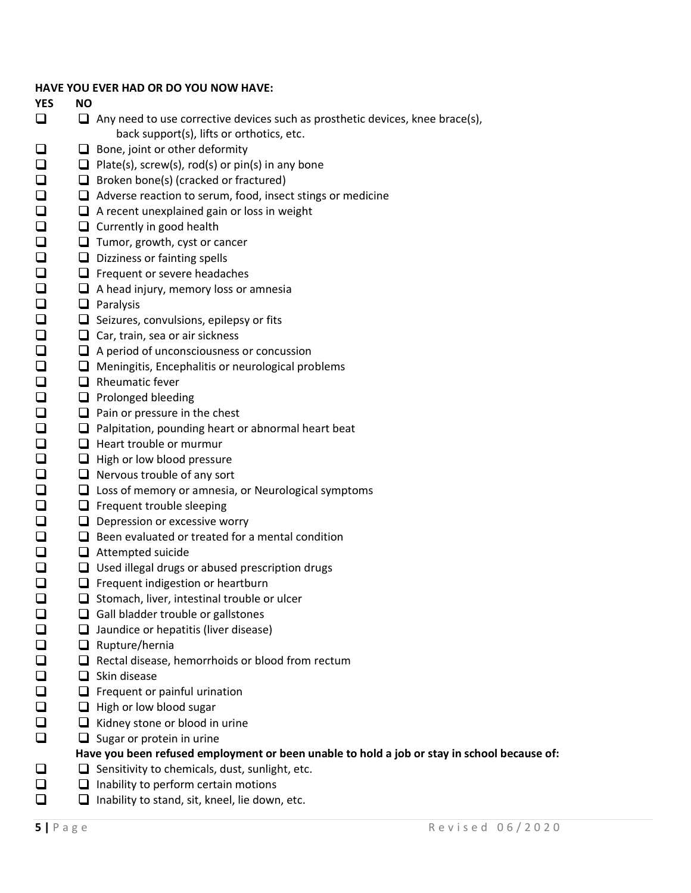| HAVE YOU EVER HAD OR DO YOU NOW HAVE: I |  |  |  |  |  |  |  |  |  |
|-----------------------------------------|--|--|--|--|--|--|--|--|--|
|-----------------------------------------|--|--|--|--|--|--|--|--|--|

#### **YES NO**  $\Box$

□  $\Box$  $\Box$ 

 $\Box$  $\Box$ 

 $\bar{a}$ 

 $\Box$  $\Box$  $\bar{\mathbf{q}}$  $\Box$  $\Box$  $\Box$  $\Box$  $\Box$  $\bar{\Box}$ 

000

 $\Box$ 

 $\Box$ 

 $\Box$  $\Box$  $\Box$  $\bar{\Box}$ 

000

 $\Box$ 

 $\Box$ 

 $\Box$  $\Box$  $\Box$  $\Box$  $\Box$ 

❏

- $\Box$  Any need to use corrective devices such as prosthetic devices, knee brace(s), back support(s), lifts or orthotics, etc.
- □  $\Box$  Bone, joint or other deformity
	- $\Box$  Plate(s), screw(s), rod(s) or pin(s) in any bone
	- $\Box$  Broken bone(s) (cracked or fractured)
	- $\Box$  Adverse reaction to serum, food, insect stings or medicine
		- $\Box$  A recent unexplained gain or loss in weight
	- $\Box$  Currently in good health
	- $\Box$  Tumor, growth, cyst or cancer
	- $\Box$  Dizziness or fainting spells
	- $\Box$  Frequent or severe headaches
	- $\Box$  A head injury, memory loss or amnesia
	- $\Box$  Paralysis
	- $\Box$  Seizures, convulsions, epilepsy or fits
	- $\Box$  Car, train, sea or air sickness
	- $\Box$  A period of unconsciousness or concussion
	- $\Box$  Meningitis, Encephalitis or neurological problems
	- $\Box$  Rheumatic fever
	- $\Box$  Prolonged bleeding
	- $\Box$  Pain or pressure in the chest
	- $\Box$  Palpitation, pounding heart or abnormal heart beat
	- $\Box$  Heart trouble or murmur
	- $\Box$  High or low blood pressure
	- $\Box$  Nervous trouble of any sort
	- $\Box$  Loss of memory or amnesia, or Neurological symptoms
	- $\Box$  Frequent trouble sleeping
	- $\Box$  Depression or excessive worry
	- $\Box$  Been evaluated or treated for a mental condition
	- $\Box$  Attempted suicide
	- $\Box$  Used illegal drugs or abused prescription drugs
	- $\Box$  Frequent indigestion or heartburn
	- $\Box$  Stomach, liver, intestinal trouble or ulcer
	- $\Box$  Gall bladder trouble or gallstones
	- $\Box$  Jaundice or hepatitis (liver disease)
	- $\Box$  Rupture/hernia
	- $\Box$  Rectal disease, hemorrhoids or blood from rectum
	- $\Box$  Skin disease
	- $\Box$  Frequent or painful urination
	- $\Box$  High or low blood sugar
	- $\Box$  Kidney stone or blood in urine
	- $\Box$  Sugar or protein in urine

### **Have you been refused employment or been unable to hold a job or stay in school because of:**

- $\Box$  Sensitivity to chemicals, dust, sunlight, etc.
- $\Box$  $\Box$  Inability to perform certain motions
- $\Box$  $\Box$  Inability to stand, sit, kneel, lie down, etc.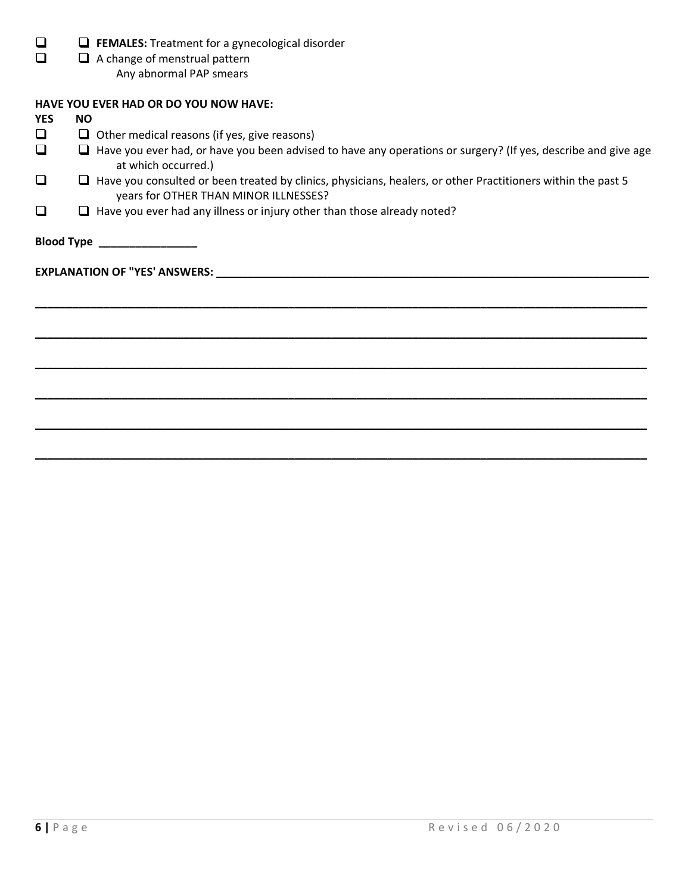| $\Box$ FEMALES: Treatment for a gynecological disorder |
|--------------------------------------------------------|
| $\Box$ A change of menstrual pattern                   |

A change of menstrual pattern

Any abnormal PAP smears

### **HAVE YOU EVER HAD OR DO YOU NOW HAVE:**

| <b>YES</b> | <b>NO</b>                                                                                                                                                    |                                                                                                                                                                                                                               |  |  |  |  |
|------------|--------------------------------------------------------------------------------------------------------------------------------------------------------------|-------------------------------------------------------------------------------------------------------------------------------------------------------------------------------------------------------------------------------|--|--|--|--|
| ❏          |                                                                                                                                                              | $\Box$ Other medical reasons (if yes, give reasons)                                                                                                                                                                           |  |  |  |  |
| ❏          |                                                                                                                                                              | $\Box$ Have you ever had, or have you been advised to have any operations or surgery? (If yes, describe and give age<br>at which occurred.)                                                                                   |  |  |  |  |
| □          | $\Box$ Have you consulted or been treated by clinics, physicians, healers, or other Practitioners within the past 5<br>years for OTHER THAN MINOR ILLNESSES? |                                                                                                                                                                                                                               |  |  |  |  |
| ❏          |                                                                                                                                                              | $\Box$ Have you ever had any illness or injury other than those already noted?                                                                                                                                                |  |  |  |  |
|            |                                                                                                                                                              | Blood Type _______________                                                                                                                                                                                                    |  |  |  |  |
|            |                                                                                                                                                              | EXPLANATION OF "YES' ANSWERS: New York of the Second State of the Second State of the Second State of the Second State of the Second State of the Second State of the Second State of the Second State of the Second State of |  |  |  |  |
|            |                                                                                                                                                              |                                                                                                                                                                                                                               |  |  |  |  |
|            |                                                                                                                                                              |                                                                                                                                                                                                                               |  |  |  |  |
|            |                                                                                                                                                              |                                                                                                                                                                                                                               |  |  |  |  |
|            |                                                                                                                                                              |                                                                                                                                                                                                                               |  |  |  |  |
|            |                                                                                                                                                              |                                                                                                                                                                                                                               |  |  |  |  |
|            |                                                                                                                                                              |                                                                                                                                                                                                                               |  |  |  |  |
|            |                                                                                                                                                              |                                                                                                                                                                                                                               |  |  |  |  |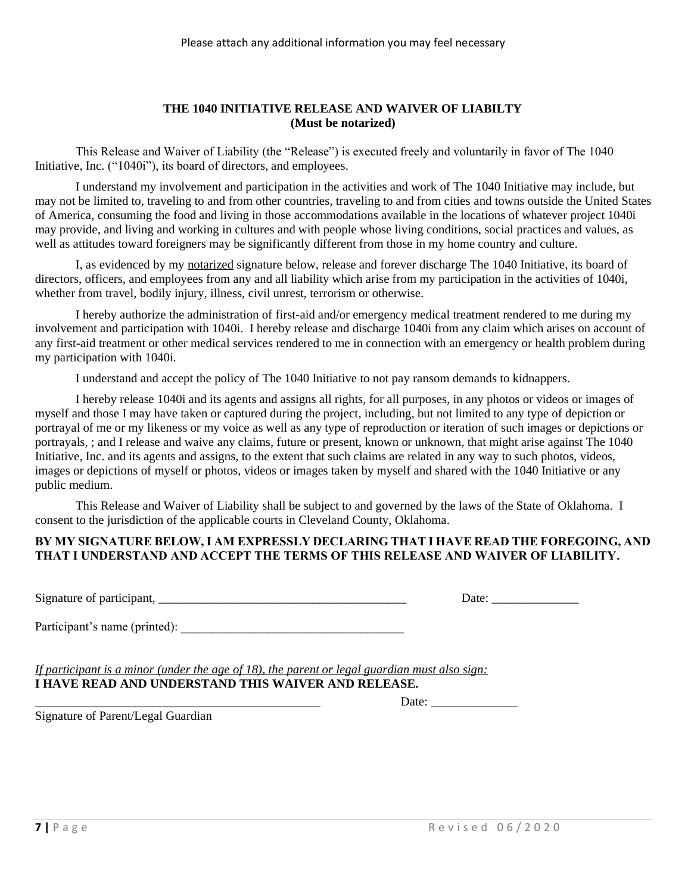#### **THE 1040 INITIATIVE RELEASE AND WAIVER OF LIABILTY (Must be notarized)**

This Release and Waiver of Liability (the "Release") is executed freely and voluntarily in favor of The 1040 Initiative, Inc. ("1040i"), its board of directors, and employees.

I understand my involvement and participation in the activities and work of The 1040 Initiative may include, but may not be limited to, traveling to and from other countries, traveling to and from cities and towns outside the United States of America, consuming the food and living in those accommodations available in the locations of whatever project 1040i may provide, and living and working in cultures and with people whose living conditions, social practices and values, as well as attitudes toward foreigners may be significantly different from those in my home country and culture.

I, as evidenced by my notarized signature below, release and forever discharge The 1040 Initiative, its board of directors, officers, and employees from any and all liability which arise from my participation in the activities of 1040i, whether from travel, bodily injury, illness, civil unrest, terrorism or otherwise.

I hereby authorize the administration of first-aid and/or emergency medical treatment rendered to me during my involvement and participation with 1040i. I hereby release and discharge 1040i from any claim which arises on account of any first-aid treatment or other medical services rendered to me in connection with an emergency or health problem during my participation with 1040i.

I understand and accept the policy of The 1040 Initiative to not pay ransom demands to kidnappers.

I hereby release 1040i and its agents and assigns all rights, for all purposes, in any photos or videos or images of myself and those I may have taken or captured during the project, including, but not limited to any type of depiction or portrayal of me or my likeness or my voice as well as any type of reproduction or iteration of such images or depictions or portrayals, ; and I release and waive any claims, future or present, known or unknown, that might arise against The 1040 Initiative, Inc. and its agents and assigns, to the extent that such claims are related in any way to such photos, videos, images or depictions of myself or photos, videos or images taken by myself and shared with the 1040 Initiative or any public medium.

This Release and Waiver of Liability shall be subject to and governed by the laws of the State of Oklahoma. I consent to the jurisdiction of the applicable courts in Cleveland County, Oklahoma.

#### **BY MY SIGNATURE BELOW, I AM EXPRESSLY DECLARING THAT I HAVE READ THE FOREGOING, AND THAT I UNDERSTAND AND ACCEPT THE TERMS OF THIS RELEASE AND WAIVER OF LIABILITY.**

Signature of participant, \_\_\_\_\_\_\_\_\_\_\_\_\_\_\_\_\_\_\_\_\_\_\_\_\_\_\_\_\_\_\_\_\_\_\_\_\_\_\_\_ Date: \_\_\_\_\_\_\_\_\_\_\_\_\_\_

| Date: |  |  |  |  |
|-------|--|--|--|--|
|-------|--|--|--|--|

Participant's name (printed):

*If participant is a minor (under the age of 18), the parent or legal guardian must also sign:* **I HAVE READ AND UNDERSTAND THIS WAIVER AND RELEASE.**

\_\_\_\_\_\_\_\_\_\_\_\_\_\_\_\_\_\_\_\_\_\_\_\_\_\_\_\_\_\_\_\_\_\_\_\_\_\_\_\_\_\_\_\_\_\_ Date: \_\_\_\_\_\_\_\_\_\_\_\_\_\_

Signature of Parent/Legal Guardian